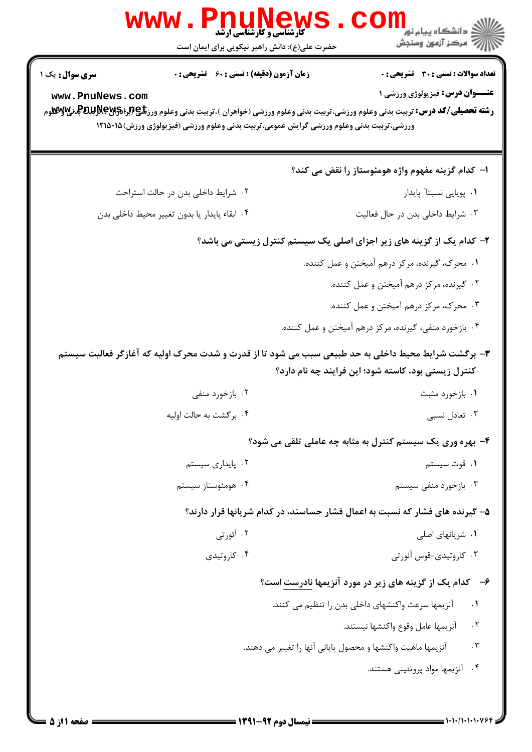|                        | <b>WWW</b><br><b>PNUNEWS</b><br><b>• کارشناسی و کارشناسی ارشد</b><br>حضرت علی(ع): دانش راهبر نیکویی برای ایمان است | د دانشگاه پيام نو <b>ر</b><br>رِ آزمون وسنجش                                                                                                                                                               |
|------------------------|--------------------------------------------------------------------------------------------------------------------|------------------------------------------------------------------------------------------------------------------------------------------------------------------------------------------------------------|
| <b>سری سوال :</b> یک ۱ | <b>زمان آزمون (دقیقه) : تستی : 60 ٪ تشریحی : 0</b>                                                                 | <b>تعداد سوالات : تستی : 30 ٪ تشریحی : 0</b>                                                                                                                                                               |
| www.PnuNews.com        | ورزشی،تربیت بدنی وعلوم ورزشی گرایش عمومی،تربیت بدنی وعلوم ورزشی (فیزیولوژی ورزش)۱۲۱۵۰۱۵                            | <b>عنـــوان درس:</b> فیزیولوژی ورزشی ۱<br><b>رشته تحصیلی/کد درس:</b> تربیت بدنی وعلوم ورزشی،تربیت بدنی وعلوم ورزشی (خواهران )،تربیت بدنی وعلوم ورز <b>تگی (برای پاپانگلو</b> هرم <b>) برایش پاپانگلو</b> م |
|                        |                                                                                                                    | ا– كدام گزينه مفهوم واژه هومئوستاز را نقض مي كند؟                                                                                                                                                          |
|                        | ۰۲ شرایط داخلی بدن در حالت استراحت                                                                                 | ٠١. پويايي نسبتا" پايدار                                                                                                                                                                                   |
|                        | ۰۴ ابقاء پایدار یا بدون تغییر محیط داخلی بدن                                                                       | ۰۳ شرایط داخلی بدن در حال فعالیت                                                                                                                                                                           |
|                        |                                                                                                                    | ۲- کدام یک از گزینه های زیر اجزای اصلی یک سیستم کنترل زیستی می باشد؟                                                                                                                                       |
|                        |                                                                                                                    | ۰۱ محرک، گیرنده، مرکز درهم آمیختن و عمل کننده.                                                                                                                                                             |
|                        |                                                                                                                    | ۰۲ گیرنده، مرکز درهم آمیختن و عمل کننده.                                                                                                                                                                   |
|                        |                                                                                                                    | ۰۳ محرک، مرکز درهم آمیختن و عمل کننده.                                                                                                                                                                     |
|                        |                                                                                                                    | ۰۴ بازخورد منفی، گیرنده، مرکز درهم آمیختن و عمل کننده.                                                                                                                                                     |
|                        | ۳- برگشت شرایط محیط داخلی به حد طبیعی سبب می شود تا از قدرت و شدت محرک اولیه که آغازگر فعالیت سیستم                | کنترل زیستی بود، کاسته شود؛ این فرایند چه نام دارد؟                                                                                                                                                        |
|                        | ۰۲ بازخورد منفی                                                                                                    | ۰۱ بازخورد مثبت                                                                                                                                                                                            |
|                        | ۰۴ برگشت به حالت اولیه                                                                                             | ۰۳ تعادل نسبی                                                                                                                                                                                              |
|                        |                                                                                                                    | ۴- بهره وری یک سیستم کنترل به مثابه چه عاملی تلقی می شود؟                                                                                                                                                  |
|                        | ۰۲ پایداری سیستم                                                                                                   | ۰۱ قوت سیستم                                                                                                                                                                                               |
|                        | ۰۴ هومئوستاز سیستم                                                                                                 | ۰۳ بازخورد منفی سیستم                                                                                                                                                                                      |
|                        |                                                                                                                    | ۵- گیرنده های فشار که نسبت به اعمال فشار حساسند، در کدام شریانها قرار دارند؟                                                                                                                               |
|                        | ۰۲ آئورتی                                                                                                          | ۰۱ شریانهای اصلی                                                                                                                                                                                           |
|                        | ۰۴ کاروتیدی                                                                                                        | ۰۳ کاروتیدی-قوس آئورتی                                                                                                                                                                                     |
|                        |                                                                                                                    | ۶- کدام یک از گزینه های زیر در مورد آنزیمها <u>نادرست</u> است؟                                                                                                                                             |
|                        |                                                                                                                    | آنزیمها سرعت واکنشهای داخلی بدن را تنظیم می کنند.<br>$\cdot$                                                                                                                                               |
|                        |                                                                                                                    | . $\Upsilon$<br>آنزيمها عامل وقوع واكنشها نيستند.                                                                                                                                                          |
|                        |                                                                                                                    | $\cdot$ $\mathsf{r}$<br>آنزیمها ماهیت واکنشها و محصول پایانی آنها را تغییر می دهند.                                                                                                                        |
|                        |                                                                                                                    | $\cdot$ ۴<br>آنزیمها مواد پروتئینی هستند.                                                                                                                                                                  |
|                        |                                                                                                                    |                                                                                                                                                                                                            |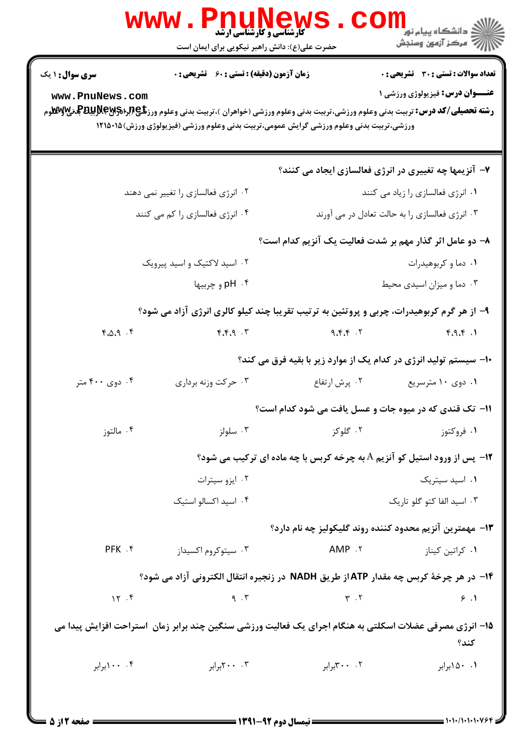|                                           | <b>WWW.PNUNews</b><br><b>5 کارشناسی و کارشناسی ارشد</b><br>حضرت علی(ع): دانش راهبر نیکویی برای ایمان است                                                                                                                                                                                        |                                                                                  | ≦ دانشگاه پیام نو <mark>ر</mark><br>أأزأت مركز آزمون وسنجش                            |
|-------------------------------------------|-------------------------------------------------------------------------------------------------------------------------------------------------------------------------------------------------------------------------------------------------------------------------------------------------|----------------------------------------------------------------------------------|---------------------------------------------------------------------------------------|
| <b>سری سوال : ۱ یک</b><br>www.PnuNews.com | <b>زمان آزمون (دقیقه) : تستی : 60 گشریحی : 0</b><br><b>رشته تحصیلی/کد درس:</b> تربیت بدنی وعلوم ورزشی،تربیت بدنی وعلوم ورزشی (خواهران )،تربیت بدنی وعلوم ورز <b>تگی (برای Pیلپاتیل بای سانگ</b> وم<br>ورزشی،تربیت بدنی وعلوم ورزشی گرایش عمومی،تربیت بدنی وعلوم ورزشی (فیزیولوژی ورزش)۱۲۱۵۰۱۵ ( |                                                                                  | <b>تعداد سوالات : تستی : 30 ٪ تشریحی : 0</b><br><b>عنــوان درس:</b> فیزیولوژی ورزشی ۱ |
|                                           |                                                                                                                                                                                                                                                                                                 | ۷- آنزیمها چه تغییری در انرژی فعالسازی ایجاد می کنند؟                            |                                                                                       |
|                                           | ۰۲ انرژی فعالسازی را تغییر نمی دهند                                                                                                                                                                                                                                                             |                                                                                  | ۰۱ انرژی فعالسازی را زیاد می کنند                                                     |
|                                           | ۰۴ انرژی فعالسازی را کم می کنند                                                                                                                                                                                                                                                                 |                                                                                  | ۰۳ انرژی فعالسازی را به حالت تعادل در می آورند                                        |
|                                           |                                                                                                                                                                                                                                                                                                 | ۸– دو عامل اثر گذار مهم بر شدت فعالیت یک آنزیم کدام است؟                         |                                                                                       |
|                                           | ۰۲ اسید لاکتیک و اسید پیرویک                                                                                                                                                                                                                                                                    |                                                                                  | ۰۱ دما و کربوهیدرات                                                                   |
|                                           | ۴ . pH و چربیها                                                                                                                                                                                                                                                                                 |                                                                                  | ۰۳ دما و میزان اسیدی محیط                                                             |
|                                           | ۹- از هر گرم کربوهیدرات، چربی و پروتئین به ترتیب تقریبا چند کیلو کالری انرژی آزاد می شود؟                                                                                                                                                                                                       |                                                                                  |                                                                                       |
| $4.0.9$ .                                 | $\mathcal{F}, \mathcal{F}, \mathcal{F}$                                                                                                                                                                                                                                                         | ۹،۴،۴ $\cdot$ ۲                                                                  | F.A.F.1                                                                               |
|                                           |                                                                                                                                                                                                                                                                                                 | ۱۰- سیستم تولید انرژی در کدام یک از موارد زیر با بقیه فرق می کند؟                |                                                                                       |
| ۰۴ دوي ۴۰۰ متر                            | ۰۳ حرکت وزنه برداری                                                                                                                                                                                                                                                                             | ۰۲ پرش ارتفاع                                                                    | ۰۱ دوی ۱۰ مترسریع                                                                     |
|                                           |                                                                                                                                                                                                                                                                                                 | 11- تک قندی که در میوه جات و عسل یافت می شود کدام است؟                           |                                                                                       |
| ۰۴ مالتوز                                 | ۰۳ سلولز                                                                                                                                                                                                                                                                                        | ۰۲ گلوکز                                                                         | ۰۱ فروکتوز                                                                            |
|                                           |                                                                                                                                                                                                                                                                                                 | <b>۱۲</b> - پس از ورود استیل کو آنزیم A به چرخه کربس با چه ماده ای ترکیب می شود؟ |                                                                                       |
|                                           | ۰۲ ایزو سیترات                                                                                                                                                                                                                                                                                  |                                                                                  | ۰۱ اسید سیتریک                                                                        |
|                                           | ۰۴ اسید اکسالو استیک                                                                                                                                                                                                                                                                            |                                                                                  | ۰۳ اسید الفا کتو گلو تاریک                                                            |
|                                           |                                                                                                                                                                                                                                                                                                 | ۱۳– مهمترین آنزیم محدود کننده روند گلیکولیز چه نام دارد؟                         |                                                                                       |
| PFK .f                                    | ۰۳ سیتوکروم اکسیداز                                                                                                                                                                                                                                                                             | AMP .Y                                                                           | ۰۱ کراتین کیناز                                                                       |
|                                           | ۱۴- در هر چرخهٔ کربس چه مقدار ATPاز طریق NADH در زنجیره انتقال الکترونی آزاد می شود؟                                                                                                                                                                                                            |                                                                                  |                                                                                       |
| 15.5                                      | 9.7                                                                                                                                                                                                                                                                                             | $Y \cdot Y$                                                                      | 9.1                                                                                   |
|                                           | 1۵– انرژی مصرفی عضلات اسکلتی به هنگام اجرای یک فعالیت ورزشی سنگین چند برابر زمان  ستراحت افزایش پیدا می                                                                                                                                                                                         |                                                                                  | كند؟                                                                                  |
| ۰۰ .۰۰ برابر                              | ۰۰ ۲۰۰برابر                                                                                                                                                                                                                                                                                     | ۲. ۳۰۰برابر                                                                      | ۰۱ ۵۰ ۱ برابر                                                                         |
|                                           |                                                                                                                                                                                                                                                                                                 |                                                                                  |                                                                                       |

 $=$  1+1+/1+1+1+764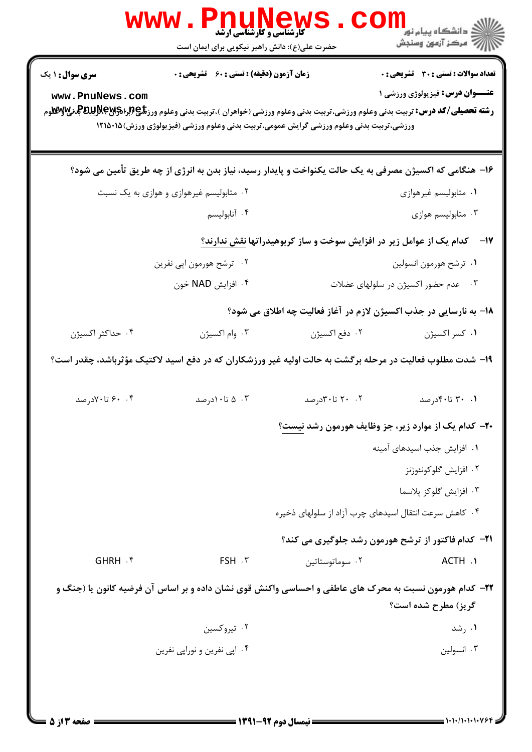| <b>WWW</b>             | <b>گارشناسی و کارشناسی ارشد</b><br>حضرت علی(ع): دانش راهبر نیکویی برای ایمان است                                                                                                                                                                            |                                                       | الاد دانشگاه پيام نور<br>  /> مرکز آزمون وسنجش                           |
|------------------------|-------------------------------------------------------------------------------------------------------------------------------------------------------------------------------------------------------------------------------------------------------------|-------------------------------------------------------|--------------------------------------------------------------------------|
| <b>سری سوال : ۱ یک</b> | <b>زمان آزمون (دقیقه) : تستی : 60 ٪ تشریحی : 0</b>                                                                                                                                                                                                          |                                                       | <b>تعداد سوالات : تستی : 30 ٪ تشریحی : 0</b>                             |
| www.PnuNews.com        | <b>رشته تحصیلی/کد درس:</b> تربیت بدنی وعلوم ورزشی،تربیت بدنی وعلوم ورزشی (خواهران )،تربیت بدنی وعلوم ورز <b>تگی (برای پاپانگلو</b> هرم <b>) برایش پاپانگلو</b> م<br>ورزشی،تربیت بدنی وعلوم ورزشی گرایش عمومی،تربیت بدنی وعلوم ورزشی (فیزیولوژی ورزش)۱۲۱۵۰۱۵ |                                                       | <b>عنـــوان درس:</b> فیزیولوژی ورزشی ۱                                   |
|                        | ۱۶– هنگامی که اکسیژن مصرفی به یک حالت یکنواخت و پایدار رسید، نیاز بدن به انرژی از چه طریق تأمین می شود؟                                                                                                                                                     |                                                       |                                                                          |
|                        | ۰۲ متابولیسم غیرهوازی و هوازی به یک نسبت                                                                                                                                                                                                                    |                                                       | ۰۱ متابولیسم غیرهوازی                                                    |
|                        | ۰۴ آنابوليسم                                                                                                                                                                                                                                                |                                                       | ۰۳ متابولیسم هوازی                                                       |
|                        |                                                                                                                                                                                                                                                             |                                                       | ۱۷– د کدام یک از عوامل زیر در افزایش سوخت و ساز کربوهیدراتها نقش ندارند؟ |
|                        | ۰۲ ترشح هورمون اپی نفرین                                                                                                                                                                                                                                    |                                                       | ۰۱ ترشح هورمون انسولين                                                   |
|                        | ۰۴ افزايش NAD خون                                                                                                                                                                                                                                           |                                                       | ۰۳ معدم حضور اکسیژن در سلولهای عضلات                                     |
|                        |                                                                                                                                                                                                                                                             |                                                       | ۱۸- به نارسایی در جذب اکسیژن لازم در آغاز فعالیت چه اطلاق می شود؟        |
| ۰۴ حداکثر اکسیژن       | ۰۳ وام اکسیژن                                                                                                                                                                                                                                               | ۰۲ دفع اکسیژن                                         | ٠١ كسر اكسيژن                                                            |
|                        | ۱۹– شدت مطلوب فعالیت در مرحله برگشت به حالت اولیه غیر ورزشکاران که در دفع اسید لاکتیک مؤثرباشد، چقدر است؟                                                                                                                                                   |                                                       |                                                                          |
| ۰. ۶۰ تا ۷۰درصد        | ۰۳ تا۱۰درصد                                                                                                                                                                                                                                                 | ۰۲ تا۳۰تارصد                                          | ۰۱ ۳۰ تا۴۰درصد                                                           |
|                        |                                                                                                                                                                                                                                                             |                                                       | ۲۰– کدام یک از موارد زیر، جز وظایف هورمون رشد نیست؟                      |
|                        |                                                                                                                                                                                                                                                             |                                                       | ۰۱ افزایش جذب اسیدهای آمینه                                              |
|                        |                                                                                                                                                                                                                                                             |                                                       | ۰۲ افزايش گلوكونئوژنز                                                    |
|                        |                                                                                                                                                                                                                                                             |                                                       | ۰۳ افزايش گلوكز پلاسما                                                   |
|                        |                                                                                                                                                                                                                                                             | ۰۴ کاهش سرعت انتقال اسیدهای چرب آزاد از سلولهای ذخیره |                                                                          |
|                        |                                                                                                                                                                                                                                                             |                                                       | <b>۲۱</b> - کدام فاکتور از ترشح هورمون رشد جلوگیری می کند؟               |
| GHRH . f               | FSH . ٣                                                                                                                                                                                                                                                     | ۰۲ سوماتوستاتین                                       | ACTH .1                                                                  |
|                        | ۲۲- کدام هورمون نسبت به محرک های عاطفی و احساسی واکنش قوی نشان داده و بر اساس آن فرضیه کانون یا (جنگ و                                                                                                                                                      |                                                       | گريز) مطرح شده است؟                                                      |
|                        | ۰۲ تیروکسین                                                                                                                                                                                                                                                 |                                                       | ۰۱ رشد                                                                   |
|                        | ۰۴ اپی نفرین و نوراپی نفرین                                                                                                                                                                                                                                 |                                                       | ۰۳ انسولین                                                               |
|                        |                                                                                                                                                                                                                                                             |                                                       |                                                                          |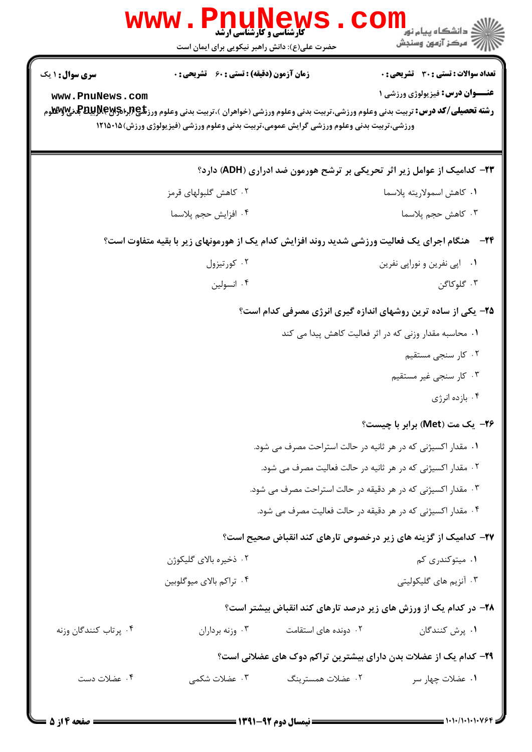|                        | www.PnuNews<br><b>کارشناسی و کارشناسی ارشد</b>                                          |                                                              | د دانشگاه پيام نو <mark>ر</mark>                                                                                                                                                    |
|------------------------|-----------------------------------------------------------------------------------------|--------------------------------------------------------------|-------------------------------------------------------------------------------------------------------------------------------------------------------------------------------------|
|                        | حضرت علی(ع): دانش راهبر نیکویی برای ایمان است                                           |                                                              | رُ⁄ مرڪز آزمون وسنڊش                                                                                                                                                                |
| <b>سری سوال :</b> ۱ یک | <b>زمان آزمون (دقیقه) : تستی : 60 ٪ تشریحی : 0</b>                                      |                                                              | تعداد سوالات : تستي : 30 ٪ تشريحي : 0                                                                                                                                               |
| www.PnuNews.com        | ورزشی،تربیت بدنی وعلوم ورزشی گرایش عمومی،تربیت بدنی وعلوم ورزشی (فیزیولوژی ورزش)۱۲۱۵۰۱۵ |                                                              | <b>عنـــوان درس:</b> فیزیولوژی ورزشی ۱<br><b>رشته تحصیلی/کد درس:</b> تربیت بدنی وعلوم ورزشی،تربیت بدنی وعلوم ورزشی (خواهران )،تربیت بدنی وعلوم ورز <b>گلچ(برPیلپوتابلوپ بهکلاوم</b> |
|                        |                                                                                         |                                                              |                                                                                                                                                                                     |
|                        |                                                                                         |                                                              | ۲۳– کدامیک از عوامل زیر اثر تحریکی بر ترشح هورمون ضد ادراری (ADH) دارد؟                                                                                                             |
|                        | ۰۲ کاهش گلبولهای قرمز                                                                   |                                                              | ٠١ كاهش اسمولاريته پلاسما                                                                                                                                                           |
|                        | ۰۴ افزايش حجم پلاسما                                                                    |                                                              | ۰۳ کاهش حجم پلاسما                                                                                                                                                                  |
|                        |                                                                                         |                                                              | <b>۲۴</b> - مشگام اجرای یک فعالیت ورزشی شدید روند افزایش کدام یک از هورمونهای زیر با بقیه متفاوت است؟                                                                               |
|                        | ۰۲ کورتیزول                                                                             |                                                              | ۰۱ اپی نفرین و نوراپی نفرین                                                                                                                                                         |
|                        | ۰۴ انسولين                                                                              |                                                              | ۰۳ گلوکاگن                                                                                                                                                                          |
|                        |                                                                                         |                                                              | ۲۵- یکی از ساده ترین روشهای اندازه گیری انرژی مصرفی کدام است؟                                                                                                                       |
|                        |                                                                                         |                                                              | ۰۱ محاسبه مقدار وزنی که در اثر فعالیت کاهش پیدا می کند                                                                                                                              |
|                        |                                                                                         |                                                              | ۰۲ کار سنجی مستقیم                                                                                                                                                                  |
|                        |                                                                                         |                                                              | ۰۳ کار سنجی غیر مستقیم                                                                                                                                                              |
|                        |                                                                                         |                                                              | ۰۴ بازده انرژی                                                                                                                                                                      |
|                        |                                                                                         |                                                              | ۲۶– یک مت (Met) برابر با چیست؟                                                                                                                                                      |
|                        |                                                                                         | ۰۱ مقدار اکسیژنی که در هر ثانیه در حالت استراحت مصرف می شود. |                                                                                                                                                                                     |
|                        |                                                                                         | ۰۲ مقدار اکسیژنی که در هر ثانیه در حالت فعالیت مصرف می شود.  |                                                                                                                                                                                     |
|                        |                                                                                         | ۰۳ مقدار اکسیژنی که در هر دقیقه در حالت استراحت مصرف می شود. |                                                                                                                                                                                     |
|                        |                                                                                         | ۰۴ مقدار اکسیژنی که در هر دقیقه در حالت فعالیت مصرف می شود.  |                                                                                                                                                                                     |
|                        |                                                                                         |                                                              | <b>۲۷</b> – کدامیک از گزینه های زیر درخصوص تارهای کند انقباض صحیح است؟                                                                                                              |
|                        | ۰۲ ذخیره بالای گلیکوژن                                                                  |                                                              | ۰۱ میتوکندری کم                                                                                                                                                                     |
|                        | ۰۴ تراکم بالای میوگلوبین                                                                |                                                              | ۰۳ آنزیم های گلیکولیتی                                                                                                                                                              |
|                        |                                                                                         |                                                              | <b>۲۸</b> - در کدام یک از ورزش های زیر درصد تارهای کند انقباض بیشتر است؟                                                                                                            |
| ۰۴ پرتاب كنندگان وزنه  | ۰۳ وزنه برداران                                                                         | ۰۲ دونده های استقامت                                         | ۰۱ پرش کنندگان                                                                                                                                                                      |
|                        |                                                                                         |                                                              | ۲۹- کدام یک از عضلات بدن دارای بیشترین تراکم دوک های عضلانی است؟                                                                                                                    |
| ۰۴ عضلات دست           | ۰۳ عضلات شکمی                                                                           | ۰۲ عضلات همسترينگ                                            | ۰۱ عضلات چهار سر                                                                                                                                                                    |
|                        |                                                                                         |                                                              |                                                                                                                                                                                     |